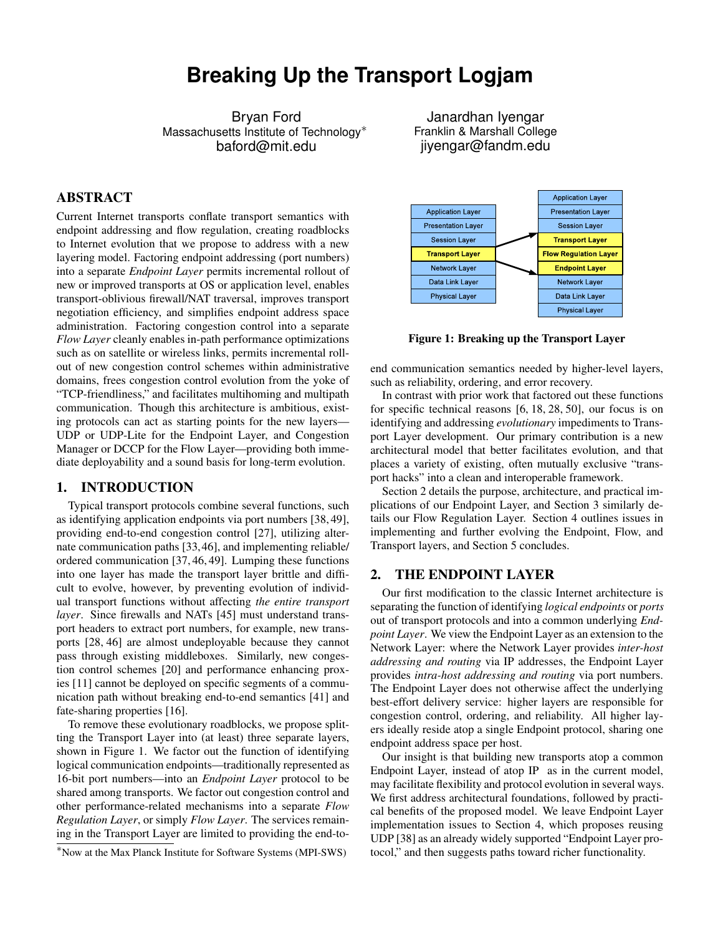# **Breaking Up the Transport Logjam**

Bryan Ford Massachusetts Institute of Technology<sup>∗</sup> baford@mit.edu

# **ABSTRACT**

Current Internet transports conflate transport semantics with endpoint addressing and flow regulation, creating roadblocks to Internet evolution that we propose to address with a new layering model. Factoring endpoint addressing (port numbers) into a separate *Endpoint Layer* permits incremental rollout of new or improved transports at OS or application level, enables transport-oblivious firewall/NAT traversal, improves transport negotiation efficiency, and simplifies endpoint address space administration. Factoring congestion control into a separate *Flow Layer* cleanly enables in-path performance optimizations such as on satellite or wireless links, permits incremental rollout of new congestion control schemes within administrative domains, frees congestion control evolution from the yoke of "TCP-friendliness," and facilitates multihoming and multipath communication. Though this architecture is ambitious, existing protocols can act as starting points for the new layers— UDP or UDP-Lite for the Endpoint Layer, and Congestion Manager or DCCP for the Flow Layer—providing both immediate deployability and a sound basis for long-term evolution.

## **1. INTRODUCTION**

Typical transport protocols combine several functions, such as identifying application endpoints via port numbers [38, 49], providing end-to-end congestion control [27], utilizing alternate communication paths [33,46], and implementing reliable/ ordered communication [37, 46, 49]. Lumping these functions into one layer has made the transport layer brittle and difficult to evolve, however, by preventing evolution of individual transport functions without affecting *the entire transport layer*. Since firewalls and NATs [45] must understand transport headers to extract port numbers, for example, new transports [28, 46] are almost undeployable because they cannot pass through existing middleboxes. Similarly, new congestion control schemes [20] and performance enhancing proxies [11] cannot be deployed on specific segments of a communication path without breaking end-to-end semantics [41] and fate-sharing properties [16].

To remove these evolutionary roadblocks, we propose splitting the Transport Layer into (at least) three separate layers, shown in Figure 1. We factor out the function of identifying logical communication endpoints—traditionally represented as 16-bit port numbers—into an *Endpoint Layer* protocol to be shared among transports. We factor out congestion control and other performance-related mechanisms into a separate *Flow Regulation Layer*, or simply *Flow Layer*. The services remaining in the Transport Layer are limited to providing the end-to-

Janardhan Iyengar Franklin & Marshall College jiyengar@fandm.edu



**Figure 1: Breaking up the Transport Layer**

end communication semantics needed by higher-level layers, such as reliability, ordering, and error recovery.

In contrast with prior work that factored out these functions for specific technical reasons [6, 18, 28, 50], our focus is on identifying and addressing *evolutionary* impediments to Transport Layer development. Our primary contribution is a new architectural model that better facilitates evolution, and that places a variety of existing, often mutually exclusive "transport hacks" into a clean and interoperable framework.

Section 2 details the purpose, architecture, and practical implications of our Endpoint Layer, and Section 3 similarly details our Flow Regulation Layer. Section 4 outlines issues in implementing and further evolving the Endpoint, Flow, and Transport layers, and Section 5 concludes.

## **2. THE ENDPOINT LAYER**

Our first modification to the classic Internet architecture is separating the function of identifying *logical endpoints* or *ports* out of transport protocols and into a common underlying *Endpoint Layer*. We view the Endpoint Layer as an extension to the Network Layer: where the Network Layer provides *inter-host addressing and routing* via IP addresses, the Endpoint Layer provides *intra-host addressing and routing* via port numbers. The Endpoint Layer does not otherwise affect the underlying best-effort delivery service: higher layers are responsible for congestion control, ordering, and reliability. All higher layers ideally reside atop a single Endpoint protocol, sharing one endpoint address space per host.

Our insight is that building new transports atop a common Endpoint Layer, instead of atop IP as in the current model, may facilitate flexibility and protocol evolution in several ways. We first address architectural foundations, followed by practical benefits of the proposed model. We leave Endpoint Layer implementation issues to Section 4, which proposes reusing UDP [38] as an already widely supported "Endpoint Layer protocol," and then suggests paths toward richer functionality.

<sup>∗</sup>Now at the Max Planck Institute for Software Systems (MPI-SWS)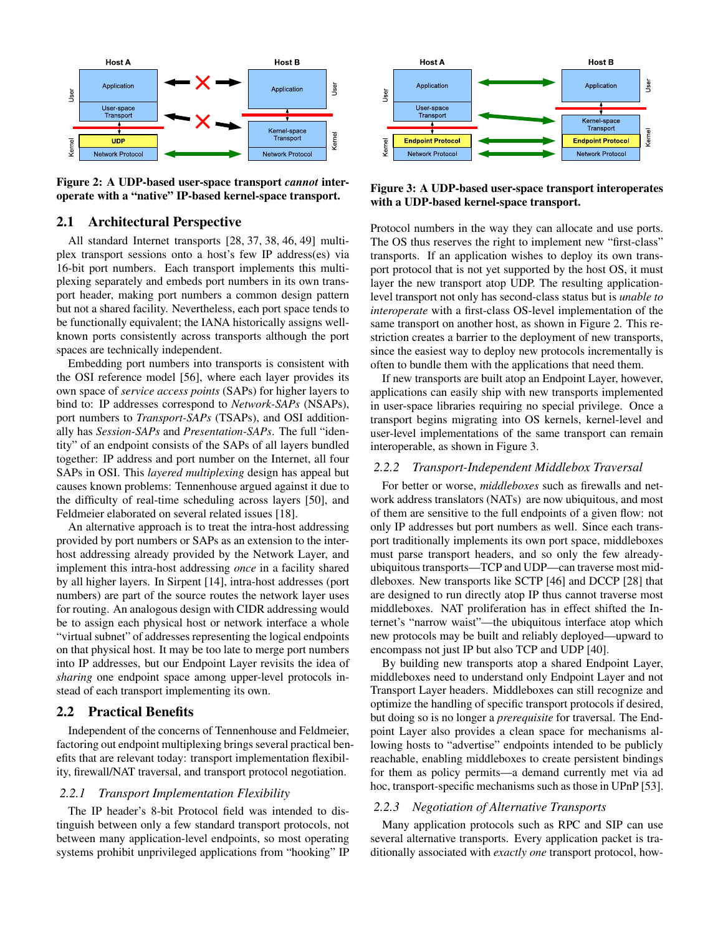

**Figure 2: A UDP-based user-space transport** *cannot* **interoperate with a "native" IP-based kernel-space transport.**

## **2.1 Architectural Perspective**

All standard Internet transports [28, 37, 38, 46, 49] multiplex transport sessions onto a host's few IP address(es) via 16-bit port numbers. Each transport implements this multiplexing separately and embeds port numbers in its own transport header, making port numbers a common design pattern but not a shared facility. Nevertheless, each port space tends to be functionally equivalent; the IANA historically assigns wellknown ports consistently across transports although the port spaces are technically independent.

Embedding port numbers into transports is consistent with the OSI reference model [56], where each layer provides its own space of *service access points* (SAPs) for higher layers to bind to: IP addresses correspond to *Network-SAPs* (NSAPs), port numbers to *Transport-SAPs* (TSAPs), and OSI additionally has *Session-SAPs* and *Presentation-SAPs*. The full "identity" of an endpoint consists of the SAPs of all layers bundled together: IP address and port number on the Internet, all four SAPs in OSI. This *layered multiplexing* design has appeal but causes known problems: Tennenhouse argued against it due to the difficulty of real-time scheduling across layers [50], and Feldmeier elaborated on several related issues [18].

An alternative approach is to treat the intra-host addressing provided by port numbers or SAPs as an extension to the interhost addressing already provided by the Network Layer, and implement this intra-host addressing *once* in a facility shared by all higher layers. In Sirpent [14], intra-host addresses (port numbers) are part of the source routes the network layer uses for routing. An analogous design with CIDR addressing would be to assign each physical host or network interface a whole "virtual subnet" of addresses representing the logical endpoints on that physical host. It may be too late to merge port numbers into IP addresses, but our Endpoint Layer revisits the idea of *sharing* one endpoint space among upper-level protocols instead of each transport implementing its own.

## **2.2 Practical Benefits**

Independent of the concerns of Tennenhouse and Feldmeier, factoring out endpoint multiplexing brings several practical benefits that are relevant today: transport implementation flexibility, firewall/NAT traversal, and transport protocol negotiation.

#### *2.2.1 Transport Implementation Flexibility*

The IP header's 8-bit Protocol field was intended to distinguish between only a few standard transport protocols, not between many application-level endpoints, so most operating systems prohibit unprivileged applications from "hooking" IP



**Figure 3: A UDP-based user-space transport interoperates with a UDP-based kernel-space transport.**

Protocol numbers in the way they can allocate and use ports. The OS thus reserves the right to implement new "first-class" transports. If an application wishes to deploy its own transport protocol that is not yet supported by the host OS, it must layer the new transport atop UDP. The resulting applicationlevel transport not only has second-class status but is *unable to interoperate* with a first-class OS-level implementation of the same transport on another host, as shown in Figure 2. This restriction creates a barrier to the deployment of new transports, since the easiest way to deploy new protocols incrementally is often to bundle them with the applications that need them.

If new transports are built atop an Endpoint Layer, however, applications can easily ship with new transports implemented in user-space libraries requiring no special privilege. Once a transport begins migrating into OS kernels, kernel-level and user-level implementations of the same transport can remain interoperable, as shown in Figure 3.

## *2.2.2 Transport-Independent Middlebox Traversal*

For better or worse, *middleboxes* such as firewalls and network address translators (NATs) are now ubiquitous, and most of them are sensitive to the full endpoints of a given flow: not only IP addresses but port numbers as well. Since each transport traditionally implements its own port space, middleboxes must parse transport headers, and so only the few alreadyubiquitous transports—TCP and UDP—can traverse most middleboxes. New transports like SCTP [46] and DCCP [28] that are designed to run directly atop IP thus cannot traverse most middleboxes. NAT proliferation has in effect shifted the Internet's "narrow waist"—the ubiquitous interface atop which new protocols may be built and reliably deployed—upward to encompass not just IP but also TCP and UDP [40].

By building new transports atop a shared Endpoint Layer, middleboxes need to understand only Endpoint Layer and not Transport Layer headers. Middleboxes can still recognize and optimize the handling of specific transport protocols if desired, but doing so is no longer a *prerequisite* for traversal. The Endpoint Layer also provides a clean space for mechanisms allowing hosts to "advertise" endpoints intended to be publicly reachable, enabling middleboxes to create persistent bindings for them as policy permits—a demand currently met via ad hoc, transport-specific mechanisms such as those in UPnP [53].

#### *2.2.3 Negotiation of Alternative Transports*

Many application protocols such as RPC and SIP can use several alternative transports. Every application packet is traditionally associated with *exactly one* transport protocol, how-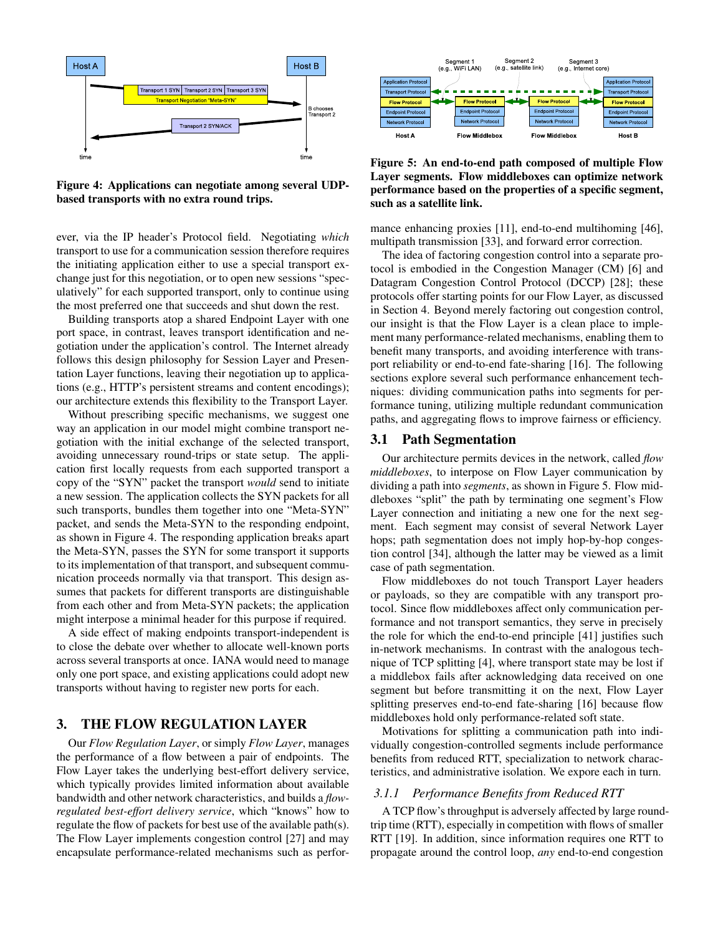

**Figure 4: Applications can negotiate among several UDPbased transports with no extra round trips.**

ever, via the IP header's Protocol field. Negotiating *which* transport to use for a communication session therefore requires the initiating application either to use a special transport exchange just for this negotiation, or to open new sessions "speculatively" for each supported transport, only to continue using the most preferred one that succeeds and shut down the rest.

Building transports atop a shared Endpoint Layer with one port space, in contrast, leaves transport identification and negotiation under the application's control. The Internet already follows this design philosophy for Session Layer and Presentation Layer functions, leaving their negotiation up to applications (e.g., HTTP's persistent streams and content encodings); our architecture extends this flexibility to the Transport Layer.

Without prescribing specific mechanisms, we suggest one way an application in our model might combine transport negotiation with the initial exchange of the selected transport, avoiding unnecessary round-trips or state setup. The application first locally requests from each supported transport a copy of the "SYN" packet the transport *would* send to initiate a new session. The application collects the SYN packets for all such transports, bundles them together into one "Meta-SYN" packet, and sends the Meta-SYN to the responding endpoint, as shown in Figure 4. The responding application breaks apart the Meta-SYN, passes the SYN for some transport it supports to its implementation of that transport, and subsequent communication proceeds normally via that transport. This design assumes that packets for different transports are distinguishable from each other and from Meta-SYN packets; the application might interpose a minimal header for this purpose if required.

A side effect of making endpoints transport-independent is to close the debate over whether to allocate well-known ports across several transports at once. IANA would need to manage only one port space, and existing applications could adopt new transports without having to register new ports for each.

## **3. THE FLOW REGULATION LAYER**

Our *Flow Regulation Layer*, or simply *Flow Layer*, manages the performance of a flow between a pair of endpoints. The Flow Layer takes the underlying best-effort delivery service, which typically provides limited information about available bandwidth and other network characteristics, and builds a *flowregulated best-effort delivery service*, which "knows" how to regulate the flow of packets for best use of the available path(s). The Flow Layer implements congestion control [27] and may encapsulate performance-related mechanisms such as perfor-



**Figure 5: An end-to-end path composed of multiple Flow Layer segments. Flow middleboxes can optimize network performance based on the properties of a specific segment, such as a satellite link.**

mance enhancing proxies [11], end-to-end multihoming [46], multipath transmission [33], and forward error correction.

The idea of factoring congestion control into a separate protocol is embodied in the Congestion Manager (CM) [6] and Datagram Congestion Control Protocol (DCCP) [28]; these protocols offer starting points for our Flow Layer, as discussed in Section 4. Beyond merely factoring out congestion control, our insight is that the Flow Layer is a clean place to implement many performance-related mechanisms, enabling them to benefit many transports, and avoiding interference with transport reliability or end-to-end fate-sharing [16]. The following sections explore several such performance enhancement techniques: dividing communication paths into segments for performance tuning, utilizing multiple redundant communication paths, and aggregating flows to improve fairness or efficiency.

## **3.1 Path Segmentation**

Our architecture permits devices in the network, called *flow middleboxes*, to interpose on Flow Layer communication by dividing a path into *segments*, as shown in Figure 5. Flow middleboxes "split" the path by terminating one segment's Flow Layer connection and initiating a new one for the next segment. Each segment may consist of several Network Layer hops; path segmentation does not imply hop-by-hop congestion control [34], although the latter may be viewed as a limit case of path segmentation.

Flow middleboxes do not touch Transport Layer headers or payloads, so they are compatible with any transport protocol. Since flow middleboxes affect only communication performance and not transport semantics, they serve in precisely the role for which the end-to-end principle [41] justifies such in-network mechanisms. In contrast with the analogous technique of TCP splitting [4], where transport state may be lost if a middlebox fails after acknowledging data received on one segment but before transmitting it on the next, Flow Layer splitting preserves end-to-end fate-sharing [16] because flow middleboxes hold only performance-related soft state.

Motivations for splitting a communication path into individually congestion-controlled segments include performance benefits from reduced RTT, specialization to network characteristics, and administrative isolation. We expore each in turn.

#### *3.1.1 Performance Benefits from Reduced RTT*

A TCP flow's throughput is adversely affected by large roundtrip time (RTT), especially in competition with flows of smaller RTT [19]. In addition, since information requires one RTT to propagate around the control loop, *any* end-to-end congestion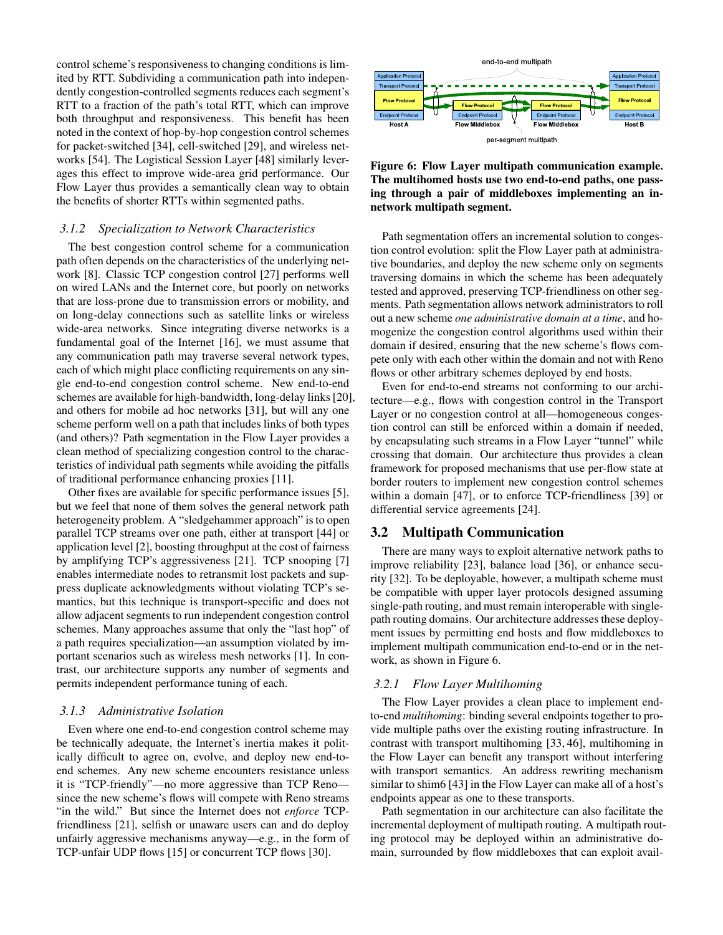control scheme's responsiveness to changing conditions is limited by RTT. Subdividing a communication path into independently congestion-controlled segments reduces each segment's RTT to a fraction of the path's total RTT, which can improve both throughput and responsiveness. This benefit has been noted in the context of hop-by-hop congestion control schemes for packet-switched [34], cell-switched [29], and wireless networks [54]. The Logistical Session Layer [48] similarly leverages this effect to improve wide-area grid performance. Our Flow Layer thus provides a semantically clean way to obtain the benefits of shorter RTTs within segmented paths.

#### *3.1.2 Specialization to Network Characteristics*

The best congestion control scheme for a communication path often depends on the characteristics of the underlying network [8]. Classic TCP congestion control [27] performs well on wired LANs and the Internet core, but poorly on networks that are loss-prone due to transmission errors or mobility, and on long-delay connections such as satellite links or wireless wide-area networks. Since integrating diverse networks is a fundamental goal of the Internet [16], we must assume that any communication path may traverse several network types, each of which might place conflicting requirements on any single end-to-end congestion control scheme. New end-to-end schemes are available for high-bandwidth, long-delay links [20], and others for mobile ad hoc networks [31], but will any one scheme perform well on a path that includes links of both types (and others)? Path segmentation in the Flow Layer provides a clean method of specializing congestion control to the characteristics of individual path segments while avoiding the pitfalls of traditional performance enhancing proxies [11].

Other fixes are available for specific performance issues [5], but we feel that none of them solves the general network path heterogeneity problem. A "sledgehammer approach" is to open parallel TCP streams over one path, either at transport [44] or application level [2], boosting throughput at the cost of fairness by amplifying TCP's aggressiveness [21]. TCP snooping [7] enables intermediate nodes to retransmit lost packets and suppress duplicate acknowledgments without violating TCP's semantics, but this technique is transport-specific and does not allow adjacent segments to run independent congestion control schemes. Many approaches assume that only the "last hop" of a path requires specialization—an assumption violated by important scenarios such as wireless mesh networks [1]. In contrast, our architecture supports any number of segments and permits independent performance tuning of each.

#### *3.1.3 Administrative Isolation*

Even where one end-to-end congestion control scheme may be technically adequate, the Internet's inertia makes it politically difficult to agree on, evolve, and deploy new end-toend schemes. Any new scheme encounters resistance unless it is "TCP-friendly"—no more aggressive than TCP Reno since the new scheme's flows will compete with Reno streams "in the wild." But since the Internet does not *enforce* TCPfriendliness [21], selfish or unaware users can and do deploy unfairly aggressive mechanisms anyway—e.g., in the form of TCP-unfair UDP flows [15] or concurrent TCP flows [30].



**Figure 6: Flow Layer multipath communication example. The multihomed hosts use two end-to-end paths, one passing through a pair of middleboxes implementing an innetwork multipath segment.**

Path segmentation offers an incremental solution to congestion control evolution: split the Flow Layer path at administrative boundaries, and deploy the new scheme only on segments traversing domains in which the scheme has been adequately tested and approved, preserving TCP-friendliness on other segments. Path segmentation allows network administrators to roll out a new scheme *one administrative domain at a time*, and homogenize the congestion control algorithms used within their domain if desired, ensuring that the new scheme's flows compete only with each other within the domain and not with Reno flows or other arbitrary schemes deployed by end hosts.

Even for end-to-end streams not conforming to our architecture—e.g., flows with congestion control in the Transport Layer or no congestion control at all—homogeneous congestion control can still be enforced within a domain if needed, by encapsulating such streams in a Flow Layer "tunnel" while crossing that domain. Our architecture thus provides a clean framework for proposed mechanisms that use per-flow state at border routers to implement new congestion control schemes within a domain [47], or to enforce TCP-friendliness [39] or differential service agreements [24].

## **3.2 Multipath Communication**

There are many ways to exploit alternative network paths to improve reliability [23], balance load [36], or enhance security [32]. To be deployable, however, a multipath scheme must be compatible with upper layer protocols designed assuming single-path routing, and must remain interoperable with singlepath routing domains. Our architecture addresses these deployment issues by permitting end hosts and flow middleboxes to implement multipath communication end-to-end or in the network, as shown in Figure 6.

#### *3.2.1 Flow Layer Multihoming*

The Flow Layer provides a clean place to implement endto-end *multihoming*: binding several endpoints together to provide multiple paths over the existing routing infrastructure. In contrast with transport multihoming [33, 46], multihoming in the Flow Layer can benefit any transport without interfering with transport semantics. An address rewriting mechanism similar to shim6 [43] in the Flow Layer can make all of a host's endpoints appear as one to these transports.

Path segmentation in our architecture can also facilitate the incremental deployment of multipath routing. A multipath routing protocol may be deployed within an administrative domain, surrounded by flow middleboxes that can exploit avail-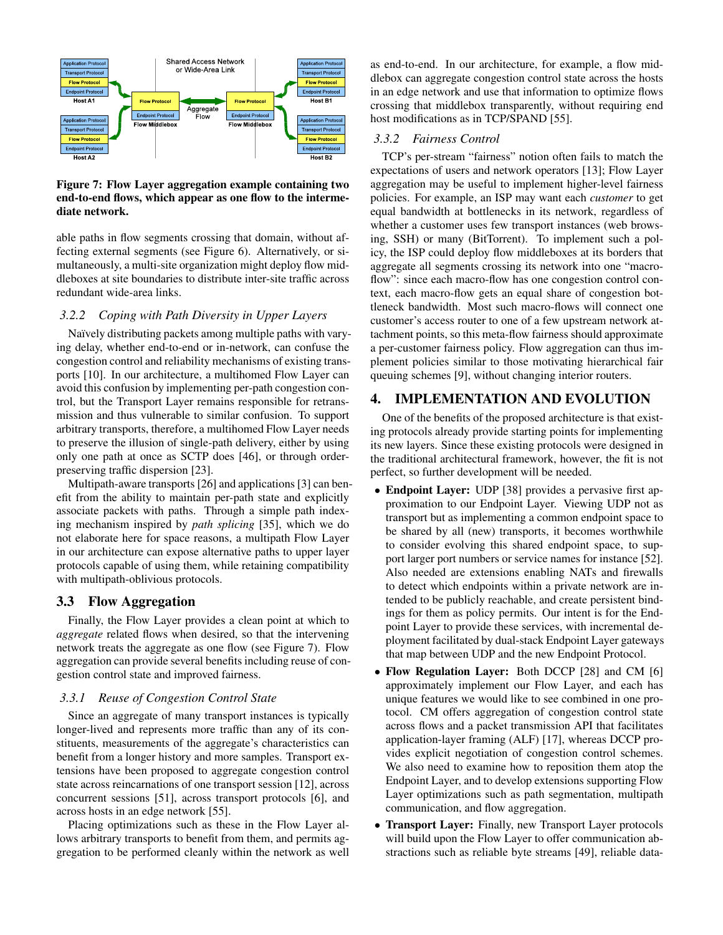

## **Figure 7: Flow Layer aggregation example containing two end-to-end flows, which appear as one flow to the intermediate network.**

able paths in flow segments crossing that domain, without affecting external segments (see Figure 6). Alternatively, or simultaneously, a multi-site organization might deploy flow middleboxes at site boundaries to distribute inter-site traffic across redundant wide-area links.

## *3.2.2 Coping with Path Diversity in Upper Layers*

Naïvely distributing packets among multiple paths with varying delay, whether end-to-end or in-network, can confuse the congestion control and reliability mechanisms of existing transports [10]. In our architecture, a multihomed Flow Layer can avoid this confusion by implementing per-path congestion control, but the Transport Layer remains responsible for retransmission and thus vulnerable to similar confusion. To support arbitrary transports, therefore, a multihomed Flow Layer needs to preserve the illusion of single-path delivery, either by using only one path at once as SCTP does [46], or through orderpreserving traffic dispersion [23].

Multipath-aware transports [26] and applications [3] can benefit from the ability to maintain per-path state and explicitly associate packets with paths. Through a simple path indexing mechanism inspired by *path splicing* [35], which we do not elaborate here for space reasons, a multipath Flow Layer in our architecture can expose alternative paths to upper layer protocols capable of using them, while retaining compatibility with multipath-oblivious protocols.

## **3.3 Flow Aggregation**

Finally, the Flow Layer provides a clean point at which to *aggregate* related flows when desired, so that the intervening network treats the aggregate as one flow (see Figure 7). Flow aggregation can provide several benefits including reuse of congestion control state and improved fairness.

#### *3.3.1 Reuse of Congestion Control State*

Since an aggregate of many transport instances is typically longer-lived and represents more traffic than any of its constituents, measurements of the aggregate's characteristics can benefit from a longer history and more samples. Transport extensions have been proposed to aggregate congestion control state across reincarnations of one transport session [12], across concurrent sessions [51], across transport protocols [6], and across hosts in an edge network [55].

Placing optimizations such as these in the Flow Layer allows arbitrary transports to benefit from them, and permits aggregation to be performed cleanly within the network as well as end-to-end. In our architecture, for example, a flow middlebox can aggregate congestion control state across the hosts in an edge network and use that information to optimize flows crossing that middlebox transparently, without requiring end host modifications as in TCP/SPAND [55].

## *3.3.2 Fairness Control*

TCP's per-stream "fairness" notion often fails to match the expectations of users and network operators [13]; Flow Layer aggregation may be useful to implement higher-level fairness policies. For example, an ISP may want each *customer* to get equal bandwidth at bottlenecks in its network, regardless of whether a customer uses few transport instances (web browsing, SSH) or many (BitTorrent). To implement such a policy, the ISP could deploy flow middleboxes at its borders that aggregate all segments crossing its network into one "macroflow": since each macro-flow has one congestion control context, each macro-flow gets an equal share of congestion bottleneck bandwidth. Most such macro-flows will connect one customer's access router to one of a few upstream network attachment points, so this meta-flow fairness should approximate a per-customer fairness policy. Flow aggregation can thus implement policies similar to those motivating hierarchical fair queuing schemes [9], without changing interior routers.

## **4. IMPLEMENTATION AND EVOLUTION**

One of the benefits of the proposed architecture is that existing protocols already provide starting points for implementing its new layers. Since these existing protocols were designed in the traditional architectural framework, however, the fit is not perfect, so further development will be needed.

- **Endpoint Layer:** UDP [38] provides a pervasive first approximation to our Endpoint Layer. Viewing UDP not as transport but as implementing a common endpoint space to be shared by all (new) transports, it becomes worthwhile to consider evolving this shared endpoint space, to support larger port numbers or service names for instance [52]. Also needed are extensions enabling NATs and firewalls to detect which endpoints within a private network are intended to be publicly reachable, and create persistent bindings for them as policy permits. Our intent is for the Endpoint Layer to provide these services, with incremental deployment facilitated by dual-stack Endpoint Layer gateways that map between UDP and the new Endpoint Protocol.
- **Flow Regulation Layer:** Both DCCP [28] and CM [6] approximately implement our Flow Layer, and each has unique features we would like to see combined in one protocol. CM offers aggregation of congestion control state across flows and a packet transmission API that facilitates application-layer framing (ALF) [17], whereas DCCP provides explicit negotiation of congestion control schemes. We also need to examine how to reposition them atop the Endpoint Layer, and to develop extensions supporting Flow Layer optimizations such as path segmentation, multipath communication, and flow aggregation.
- **Transport Layer:** Finally, new Transport Layer protocols will build upon the Flow Layer to offer communication abstractions such as reliable byte streams [49], reliable data-